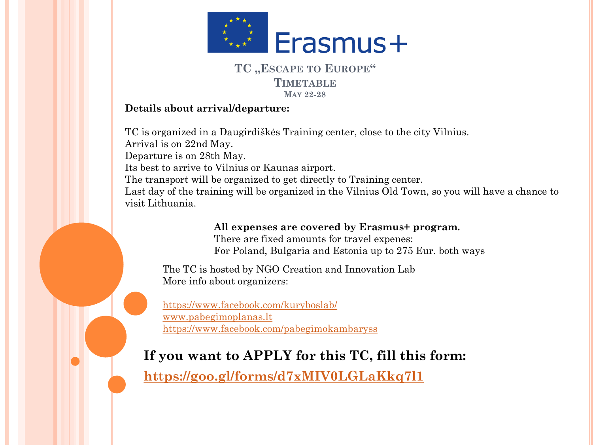

## **TC "ESCAPE TO EUROPE" TIMETABLE MAY 22-28**

## **Details about arrival/departure:**

TC is organized in a Daugirdiškės Training center, close to the city Vilnius. Arrival is on 22nd May. Departure is on 28th May. Its best to arrive to Vilnius or Kaunas airport. The transport will be organized to get directly to Training center. Last day of the training will be organized in the Vilnius Old Town, so you will have a chance to visit Lithuania.

> **All expenses are covered by Erasmus+ program.**  There are fixed amounts for travel expenes: For Poland, Bulgaria and Estonia up to 275 Eur. both ways

The TC is hosted by NGO Creation and Innovation Lab More info about organizers:

<https://www.facebook.com/kuryboslab/> [www.pabegimoplanas.lt](http://www.pabegimoplanas.lt/) <https://www.facebook.com/pabegimokambaryss>

## **If you want to APPLY for this TC, fill this form:**

**<https://goo.gl/forms/d7xMIV0LGLaKkq7l1>**